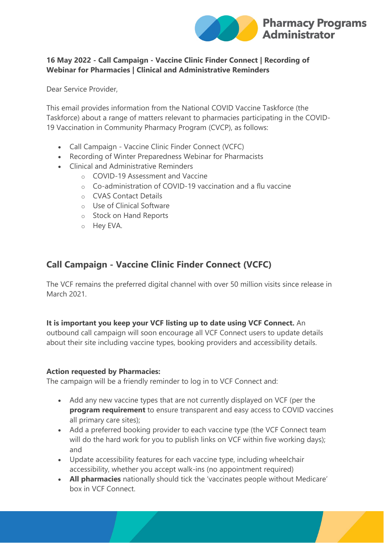

## **16 May 2022 - Call Campaign - Vaccine Clinic Finder Connect | Recording of Webinar for Pharmacies | Clinical and Administrative Reminders**

Dear Service Provider,

This email provides information from the National COVID Vaccine Taskforce (the Taskforce) about a range of matters relevant to pharmacies participating in the COVID-19 Vaccination in Community Pharmacy Program (CVCP), as follows:

- Call Campaign Vaccine Clinic Finder Connect (VCFC)
- Recording of Winter Preparedness Webinar for Pharmacists
- Clinical and Administrative Reminders
	- o COVID-19 Assessment and Vaccine
		- o Co-administration of COVID-19 vaccination and a flu vaccine
		- o CVAS Contact Details
		- o Use of Clinical Software
		- o Stock on Hand Reports
		- o Hey EVA.

## **Call Campaign - Vaccine Clinic Finder Connect (VCFC)**

The VCF remains the preferred digital channel with over 50 million visits since release in March 2021.

### **It is important you keep your VCF listing up to date using VCF Connect.** An

outbound call campaign will soon encourage all VCF Connect users to update details about their site including vaccine types, booking providers and accessibility details.

### **Action requested by Pharmacies:**

The campaign will be a friendly reminder to log in to VCF Connect and:

- Add any new vaccine types that are not currently displayed on VCF (per the **program requirement** to ensure transparent and easy access to COVID vaccines all primary care sites);
- Add a preferred booking provider to each vaccine type (the VCF Connect team will do the hard work for you to publish links on VCF within five working days); and
- Update accessibility features for each vaccine type, including wheelchair accessibility, whether you accept walk-ins (no appointment required)
- **All pharmacies** nationally should tick the 'vaccinates people without Medicare' box in VCF Connect.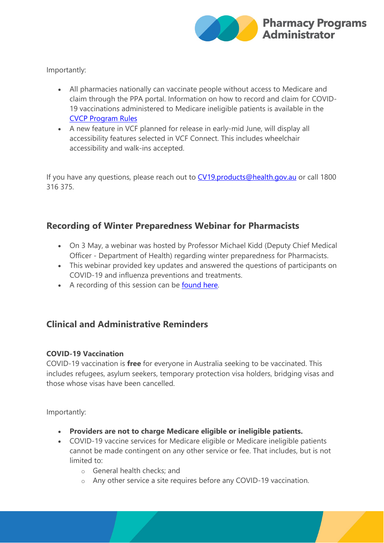

Importantly:

- All pharmacies nationally can vaccinate people without access to Medicare and claim through the PPA portal. Information on how to record and claim for COVID-19 vaccinations administered to Medicare ineligible patients is available in the [CVCP Program Rules](https://protect-au.mimecast.com/s/sMGPCr81D9UDQ91hzoscY?domain=ppaonline.com.au)
- A new feature in VCF planned for release in early-mid June, will display all accessibility features selected in VCF Connect. This includes wheelchair accessibility and walk-ins accepted.

If you have any questions, please reach out to [CV19.products@health.gov.au](mailto:) or call 1800 316 375.

# **Recording of Winter Preparedness Webinar for Pharmacists**

- On 3 May, a webinar was hosted by Professor Michael Kidd (Deputy Chief Medical Officer - Department of Health) regarding winter preparedness for Pharmacists.
- This webinar provided key updates and answered the questions of participants on COVID-19 and influenza preventions and treatments.
- A recording of this session can be [found here.](https://protect-au.mimecast.com/s/wPVbCvl10ZtywX2TzV_hm?domain=health.gov.au)

# **Clinical and Administrative Reminders**

### **COVID-19 Vaccination**

COVID-19 vaccination is **free** for everyone in Australia seeking to be vaccinated. This includes refugees, asylum seekers, temporary protection visa holders, bridging visas and those whose visas have been cancelled.

Importantly:

- **Providers are not to charge Medicare eligible or ineligible patients.**
- COVID-19 vaccine services for Medicare eligible or Medicare ineligible patients cannot be made contingent on any other service or fee. That includes, but is not limited to:
	- o General health checks; and
	- o Any other service a site requires before any COVID-19 vaccination.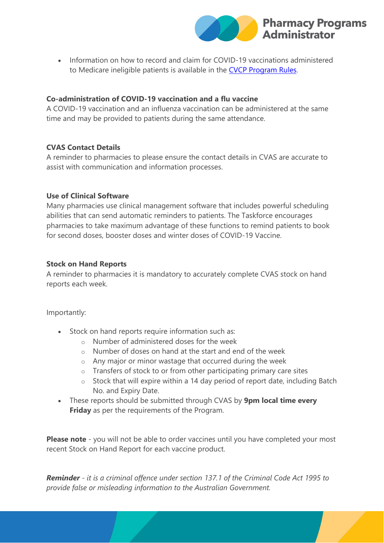

• Information on how to record and claim for COVID-19 vaccinations administered to Medicare ineligible patients is available in the [CVCP Program Rules.](https://protect-au.mimecast.com/s/sMGPCr81D9UDQ91hzoscY?domain=ppaonline.com.au)

### **Co-administration of COVID-19 vaccination and a flu vaccine**

A COVID-19 vaccination and an influenza vaccination can be administered at the same time and may be provided to patients during the same attendance.

## **CVAS Contact Details**

A reminder to pharmacies to please ensure the contact details in CVAS are accurate to assist with communication and information processes.

### **Use of Clinical Software**

Many pharmacies use clinical management software that includes powerful scheduling abilities that can send automatic reminders to patients. The Taskforce encourages pharmacies to take maximum advantage of these functions to remind patients to book for second doses, booster doses and winter doses of COVID-19 Vaccine.

### **Stock on Hand Reports**

A reminder to pharmacies it is mandatory to accurately complete CVAS stock on hand reports each week.

Importantly:

- Stock on hand reports require information such as:
	- o Number of administered doses for the week
	- o Number of doses on hand at the start and end of the week
	- o Any major or minor wastage that occurred during the week
	- o Transfers of stock to or from other participating primary care sites
	- o Stock that will expire within a 14 day period of report date, including Batch No. and Expiry Date.
- These reports should be submitted through CVAS by **9pm local time every Friday** as per the requirements of the Program.

**Please note** - you will not be able to order vaccines until you have completed your most recent Stock on Hand Report for each vaccine product.

*Reminder - it is a criminal offence under section 137.1 of the Criminal Code Act 1995 to provide false or misleading information to the Australian Government.*